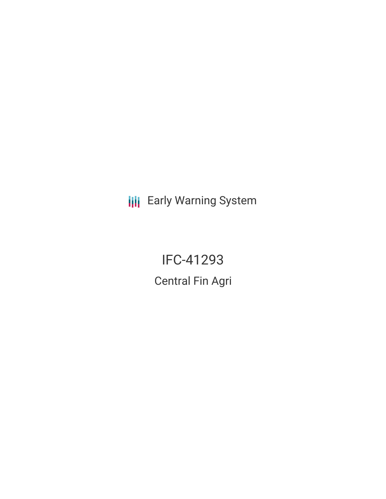**III** Early Warning System

IFC-41293 Central Fin Agri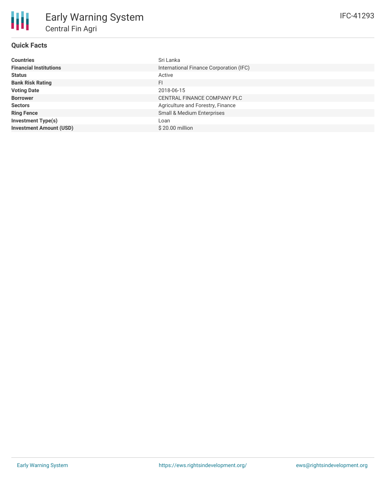# **Quick Facts**

| <b>Countries</b>               | Sri Lanka                               |
|--------------------------------|-----------------------------------------|
| <b>Financial Institutions</b>  | International Finance Corporation (IFC) |
| <b>Status</b>                  | Active                                  |
| <b>Bank Risk Rating</b>        | <b>FI</b>                               |
| <b>Voting Date</b>             | 2018-06-15                              |
| <b>Borrower</b>                | CENTRAL FINANCE COMPANY PLC             |
| <b>Sectors</b>                 | Agriculture and Forestry, Finance       |
| <b>Ring Fence</b>              | Small & Medium Enterprises              |
| <b>Investment Type(s)</b>      | Loan                                    |
| <b>Investment Amount (USD)</b> | $$20.00$ million                        |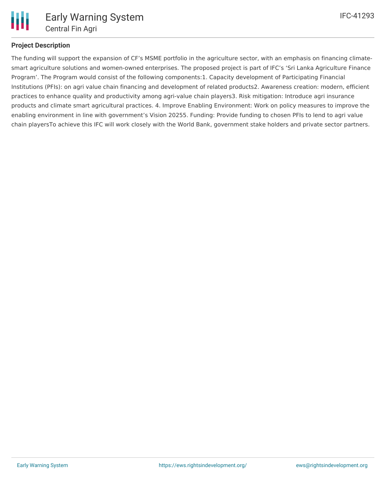

# **Project Description**

The funding will support the expansion of CF's MSME portfolio in the agriculture sector, with an emphasis on financing climatesmart agriculture solutions and women-owned enterprises. The proposed project is part of IFC's 'Sri Lanka Agriculture Finance Program'. The Program would consist of the following components:1. Capacity development of Participating Financial Institutions (PFIs): on agri value chain financing and development of related products2. Awareness creation: modern, efficient practices to enhance quality and productivity among agri-value chain players3. Risk mitigation: Introduce agri insurance products and climate smart agricultural practices. 4. Improve Enabling Environment: Work on policy measures to improve the enabling environment in line with government's Vision 20255. Funding: Provide funding to chosen PFIs to lend to agri value chain playersTo achieve this IFC will work closely with the World Bank, government stake holders and private sector partners.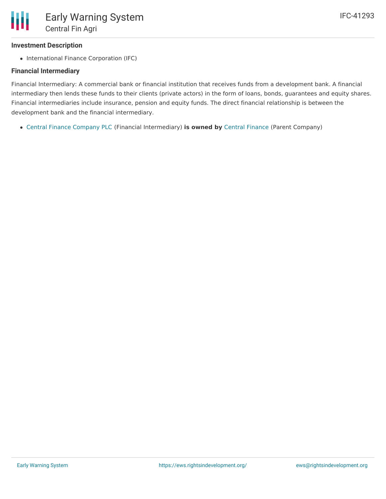#### **Investment Description**

• International Finance Corporation (IFC)

### **Financial Intermediary**

Financial Intermediary: A commercial bank or financial institution that receives funds from a development bank. A financial intermediary then lends these funds to their clients (private actors) in the form of loans, bonds, guarantees and equity shares. Financial intermediaries include insurance, pension and equity funds. The direct financial relationship is between the development bank and the financial intermediary.

Central Finance [Company](file:///actor/741/) PLC (Financial Intermediary) **is owned by** Central [Finance](file:///actor/4008/) (Parent Company)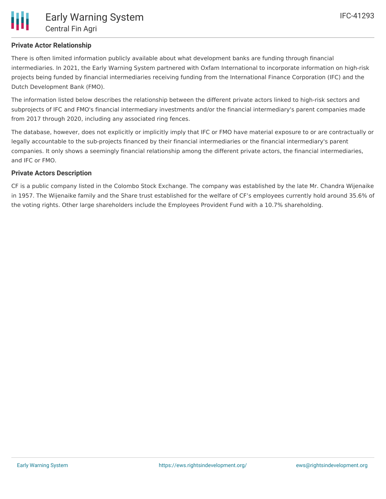There is often limited information publicly available about what development banks are funding through financial intermediaries. In 2021, the Early Warning System partnered with Oxfam International to incorporate information on high-risk projects being funded by financial intermediaries receiving funding from the International Finance Corporation (IFC) and the Dutch Development Bank (FMO).

The information listed below describes the relationship between the different private actors linked to high-risk sectors and subprojects of IFC and FMO's financial intermediary investments and/or the financial intermediary's parent companies made from 2017 through 2020, including any associated ring fences.

The database, however, does not explicitly or implicitly imply that IFC or FMO have material exposure to or are contractually or legally accountable to the sub-projects financed by their financial intermediaries or the financial intermediary's parent companies. It only shows a seemingly financial relationship among the different private actors, the financial intermediaries, and IFC or FMO.

#### **Private Actors Description**

CF is a public company listed in the Colombo Stock Exchange. The company was established by the late Mr. Chandra Wijenaike in 1957. The Wijenaike family and the Share trust established for the welfare of CF's employees currently hold around 35.6% of the voting rights. Other large shareholders include the Employees Provident Fund with a 10.7% shareholding.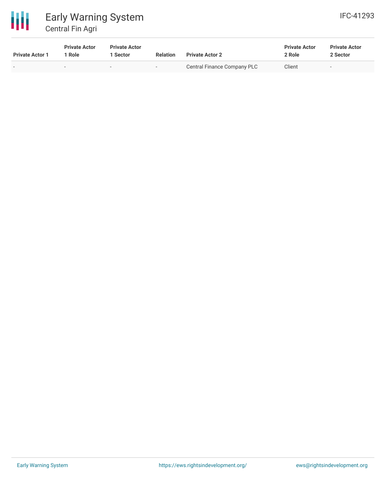

# Early Warning System Central Fin Agri

| <b>Private Actor 1</b> | <b>Private Actor</b><br>' Role | <b>Private Actor</b><br>Sector | <b>Relation</b> | <b>Private Actor 2</b>      | <b>Private Actor</b><br>2 Role | <b>Private Actor</b><br>2 Sector |  |
|------------------------|--------------------------------|--------------------------------|-----------------|-----------------------------|--------------------------------|----------------------------------|--|
| . .                    |                                | $\overline{\phantom{0}}$       | $\sim$ $-$      | Central Finance Company PLC | Client                         | $\overline{\phantom{0}}$         |  |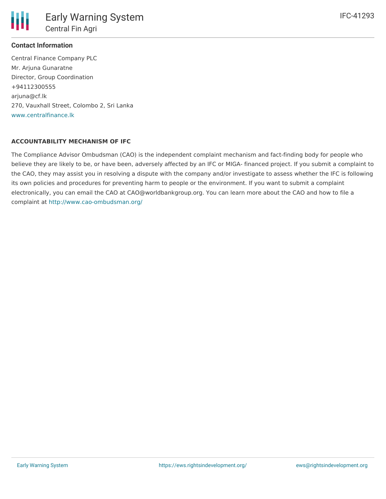#### **Contact Information**

Central Finance Company PLC Mr. Arjuna Gunaratne Director, Group Coordination +94112300555 arjuna@cf.lk 270, Vauxhall Street, Colombo 2, Sri Lanka [www.centralfinance.lk](http://www.centralfinance.lk)

#### **ACCOUNTABILITY MECHANISM OF IFC**

The Compliance Advisor Ombudsman (CAO) is the independent complaint mechanism and fact-finding body for people who believe they are likely to be, or have been, adversely affected by an IFC or MIGA- financed project. If you submit a complaint to the CAO, they may assist you in resolving a dispute with the company and/or investigate to assess whether the IFC is following its own policies and procedures for preventing harm to people or the environment. If you want to submit a complaint electronically, you can email the CAO at CAO@worldbankgroup.org. You can learn more about the CAO and how to file a complaint at <http://www.cao-ombudsman.org/>